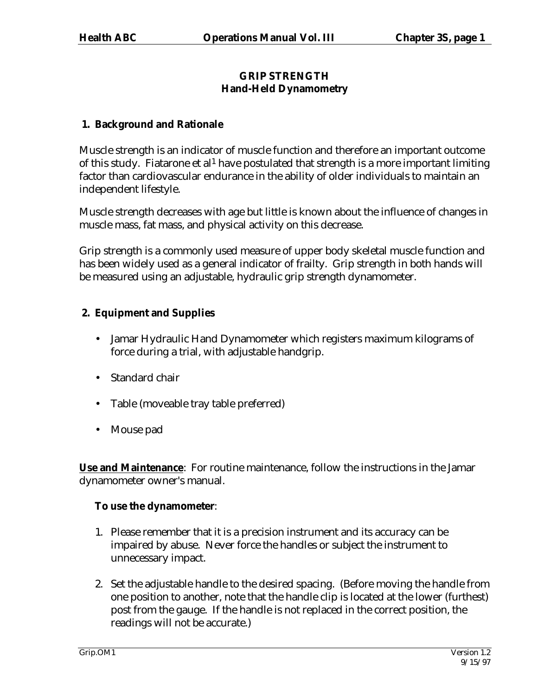# **GRIP STRENGTH Hand-Held Dynamometry**

# **1. Background and Rationale**

Muscle strength is an indicator of muscle function and therefore an important outcome of this study. Fiatarone et al<sup>1</sup> have postulated that strength is a more important limiting factor than cardiovascular endurance in the ability of older individuals to maintain an independent lifestyle.

Muscle strength decreases with age but little is known about the influence of changes in muscle mass, fat mass, and physical activity on this decrease.

Grip strength is a commonly used measure of upper body skeletal muscle function and has been widely used as a general indicator of frailty. Grip strength in both hands will be measured using an adjustable, hydraulic grip strength dynamometer.

# **2. Equipment and Supplies**

- Jamar Hydraulic Hand Dynamometer which registers maximum kilograms of force during a trial, with adjustable handgrip.
- Standard chair
- Table (moveable tray table preferred)
- Mouse pad

**Use and Maintenance**: For routine maintenance, follow the instructions in the Jamar dynamometer owner's manual.

### **To use the dynamometer**:

- 1. Please remember that it is a precision instrument and its accuracy can be impaired by abuse. Never force the handles or subject the instrument to unnecessary impact.
- 2. Set the adjustable handle to the desired spacing. (Before moving the handle from one position to another, note that the handle clip is located at the lower (furthest) post from the gauge. If the handle is not replaced in the correct position, the readings will not be accurate.)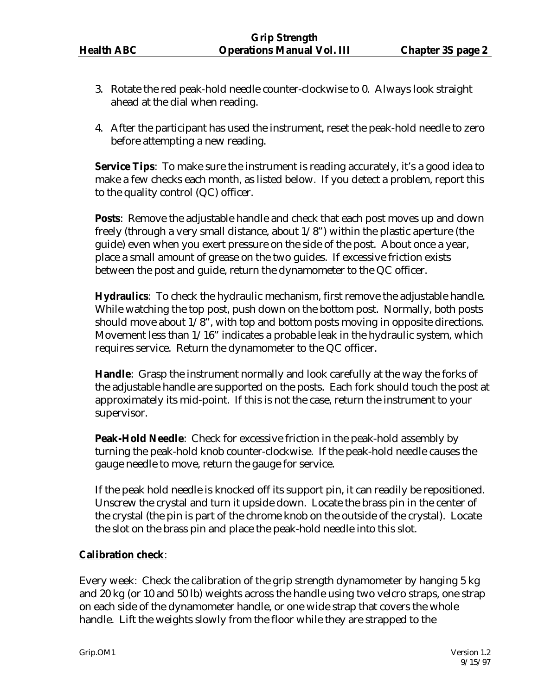- 3. Rotate the red peak-hold needle counter-clockwise to 0. Always look straight ahead at the dial when reading.
- 4. After the participant has used the instrument, reset the peak-hold needle to zero before attempting a new reading.

**Service Tips**: To make sure the instrument is reading accurately, it's a good idea to make a few checks each month, as listed below. If you detect a problem, report this to the quality control (QC) officer.

**Posts:** Remove the adjustable handle and check that each post moves up and down freely (through a very small distance, about 1/8") within the plastic aperture (the guide) even when you exert pressure on the side of the post. About once a year, place a small amount of grease on the two guides. If excessive friction exists between the post and guide, return the dynamometer to the QC officer.

**Hydraulics**: To check the hydraulic mechanism, first remove the adjustable handle. While watching the top post, push down on the bottom post. Normally, both posts should move about 1/8", with top and bottom posts moving in opposite directions. Movement less than 1/16" indicates a probable leak in the hydraulic system, which requires service. Return the dynamometer to the QC officer.

**Handle**: Grasp the instrument normally and look carefully at the way the forks of the adjustable handle are supported on the posts. Each fork should touch the post at approximately its mid-point. If this is not the case, return the instrument to your supervisor.

**Peak-Hold Needle**: Check for excessive friction in the peak-hold assembly by turning the peak-hold knob counter-clockwise. If the peak-hold needle causes the gauge needle to move, return the gauge for service.

If the peak hold needle is knocked off its support pin, it can readily be repositioned. Unscrew the crystal and turn it upside down. Locate the brass pin in the center of the crystal (the pin is part of the chrome knob on the outside of the crystal). Locate the slot on the brass pin and place the peak-hold needle into this slot.

# **Calibration check**:

Every week: Check the calibration of the grip strength dynamometer by hanging 5 kg and 20 kg (or 10 and 50 lb) weights across the handle using two velcro straps, one strap on each side of the dynamometer handle, or one wide strap that covers the whole handle. Lift the weights slowly from the floor while they are strapped to the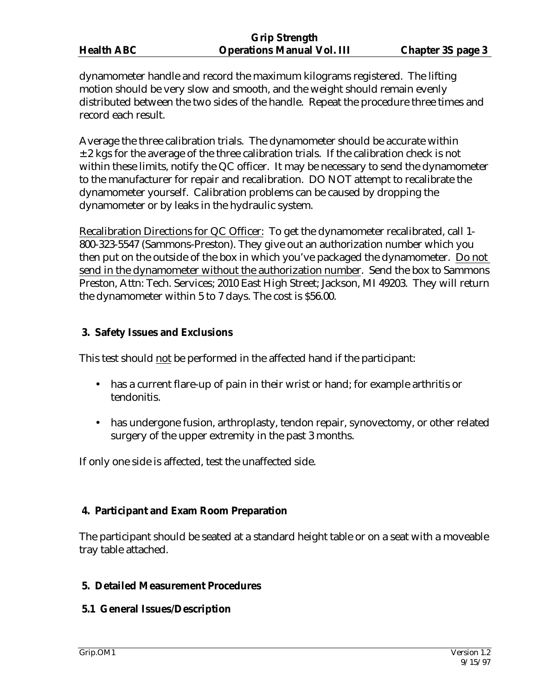dynamometer handle and record the maximum kilograms registered. The lifting motion should be very slow and smooth, and the weight should remain evenly distributed between the two sides of the handle. Repeat the procedure three times and record each result.

Average the three calibration trials. The dynamometer should be accurate within  $\pm$  2 kgs for the average of the three calibration trials. If the calibration check is not within these limits, notify the QC officer. It may be necessary to send the dynamometer to the manufacturer for repair and recalibration. DO NOT attempt to recalibrate the dynamometer yourself. Calibration problems can be caused by dropping the dynamometer or by leaks in the hydraulic system.

Recalibration Directions for QC Officer: To get the dynamometer recalibrated, call 1- 800-323-5547 (Sammons-Preston). They give out an authorization number which you then put on the outside of the box in which you've packaged the dynamometer. Do not send in the dynamometer without the authorization number. Send the box to Sammons Preston, Attn: Tech. Services; 2010 East High Street; Jackson, MI 49203. They will return the dynamometer within 5 to 7 days. The cost is \$56.00.

## **3. Safety Issues and Exclusions**

This test should not be performed in the affected hand if the participant:

- has a current flare-up of pain in their wrist or hand; for example arthritis or tendonitis.
- has undergone fusion, arthroplasty, tendon repair, synovectomy, or other related surgery of the upper extremity in the past 3 months.

If only one side is affected, test the unaffected side.

# **4. Participant and Exam Room Preparation**

The participant should be seated at a standard height table or on a seat with a moveable tray table attached.

### **5. Detailed Measurement Procedures**

### **5.1 General Issues/Description**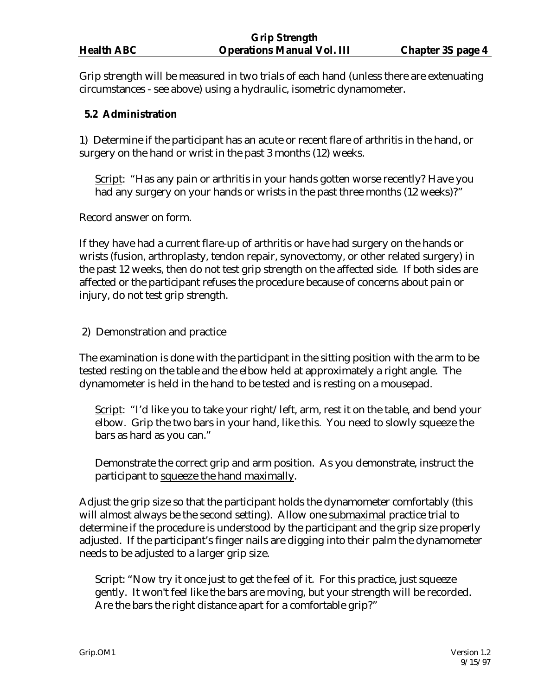Grip strength will be measured in two trials of each hand (unless there are extenuating circumstances - see above) using a hydraulic, isometric dynamometer.

## **5.2 Administration**

1) Determine if the participant has an acute or recent flare of arthritis in the hand, or surgery on the hand or wrist in the past 3 months (12) weeks.

Script: "Has any pain or arthritis in your hands gotten worse recently? Have you had any surgery on your hands or wrists in the past three months (12 weeks)?"

Record answer on form.

If they have had a current flare-up of arthritis or have had surgery on the hands or wrists (fusion, arthroplasty, tendon repair, synovectomy, or other related surgery) in the past 12 weeks, then do not test grip strength on the affected side. If both sides are affected or the participant refuses the procedure because of concerns about pain or injury, do not test grip strength.

2) Demonstration and practice

The examination is done with the participant in the sitting position with the arm to be tested resting on the table and the elbow held at approximately a right angle. The dynamometer is held in the hand to be tested and is resting on a mousepad.

Script: "I'd like you to take your right/left, arm, rest it on the table, and bend your elbow. Grip the two bars in your hand, like this. You need to slowly squeeze the bars as hard as you can."

Demonstrate the correct grip and arm position. As you demonstrate, instruct the participant to squeeze the hand maximally.

Adjust the grip size so that the participant holds the dynamometer comfortably (this will almost always be the second setting). Allow one submaximal practice trial to determine if the procedure is understood by the participant and the grip size properly adjusted. If the participant's finger nails are digging into their palm the dynamometer needs to be adjusted to a larger grip size.

Script: "Now try it once just to get the feel of it. For this practice, just squeeze gently. It won't feel like the bars are moving, but your strength will be recorded. Are the bars the right distance apart for a comfortable grip?"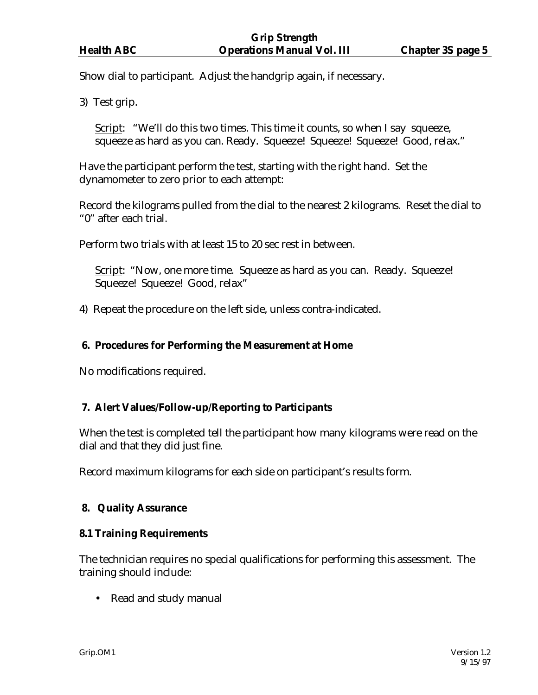Show dial to participant. Adjust the handgrip again, if necessary.

3) Test grip.

Script: "We'll do this two times. This time it counts, so when I say squeeze, squeeze as hard as you can. Ready. Squeeze! Squeeze! Squeeze! Good, relax."

Have the participant perform the test, starting with the right hand. Set the dynamometer to zero prior to each attempt:

Record the kilograms pulled from the dial to the nearest 2 kilograms. Reset the dial to "0" after each trial.

Perform two trials with at least 15 to 20 sec rest in between.

Script: "Now, one more time. Squeeze as hard as you can. Ready. Squeeze! Squeeze! Squeeze! Good, relax"

4) Repeat the procedure on the left side, unless contra-indicated.

#### **6. Procedures for Performing the Measurement at Home**

No modifications required.

#### **7. Alert Values/Follow-up/Reporting to Participants**

When the test is completed tell the participant how many kilograms were read on the dial and that they did just fine.

Record maximum kilograms for each side on participant's results form.

### **8. Quality Assurance**

### **8.1 Training Requirements**

The technician requires no special qualifications for performing this assessment. The training should include:

• Read and study manual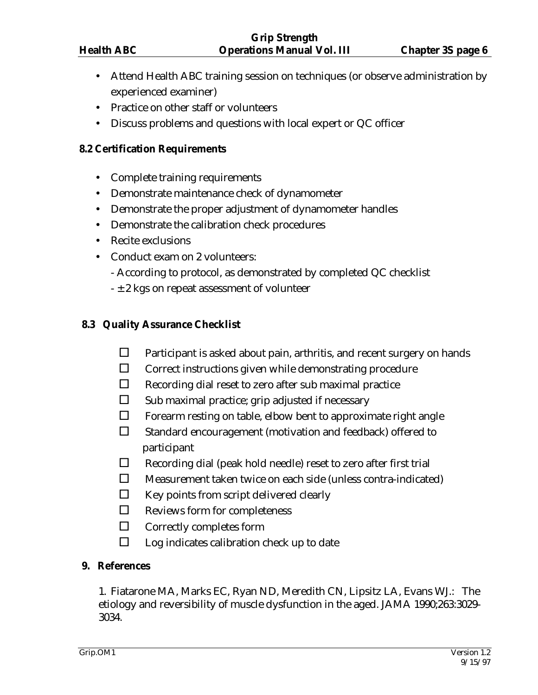- Attend Health ABC training session on techniques (or observe administration by experienced examiner)
- Practice on other staff or volunteers
- Discuss problems and questions with local expert or QC officer

### **8.2 Certification Requirements**

- Complete training requirements
- Demonstrate maintenance check of dynamometer
- Demonstrate the proper adjustment of dynamometer handles
- Demonstrate the calibration check procedures
- Recite exclusions
- Conduct exam on 2 volunteers:
	- According to protocol, as demonstrated by completed QC checklist
	- $\pm$  2 kgs on repeat assessment of volunteer

## **8.3 Quality Assurance Checklist**

- $\Box$  Participant is asked about pain, arthritis, and recent surgery on hands
- $\square$  Correct instructions given while demonstrating procedure
- $\Box$  Recording dial reset to zero after sub maximal practice
- $\square$  Sub maximal practice; grip adjusted if necessary
- $\Box$  Forearm resting on table, elbow bent to approximate right angle
- $\square$  Standard encouragement (motivation and feedback) offered to participant
- $\Box$  Recording dial (peak hold needle) reset to zero after first trial
- $\square$  Measurement taken twice on each side (unless contra-indicated)
- $\Box$  Key points from script delivered clearly
- $\Box$  Reviews form for completeness
- $\Box$  Correctly completes form
- $\Box$  Log indicates calibration check up to date

### **9. References**

 1. Fiatarone MA, Marks EC, Ryan ND, Meredith CN, Lipsitz LA, Evans WJ.: The etiology and reversibility of muscle dysfunction in the aged. JAMA 1990;263:3029- 3034.